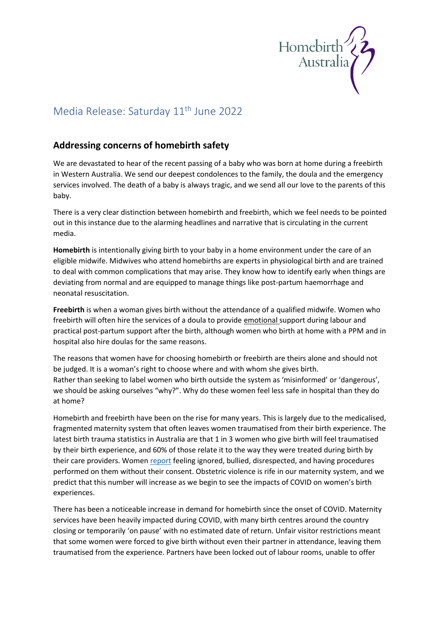

## Media Release: Saturday 11<sup>th</sup> June 2022

## **Addressing concerns of homebirth safety**

We are devastated to hear of the recent passing of a baby who was born at home during a freebirth in Western Australia. We send our deepest condolences to the family, the doula and the emergency services involved. The death of a baby is always tragic, and we send all our love to the parents of this baby.

There is a very clear distinction between homebirth and freebirth, which we feel needs to be pointed out in this instance due to the alarming headlines and narrative that is circulating in the current media.

**Homebirth** is intentionally giving birth to your baby in a home environment under the care of an eligible midwife. Midwives who attend homebirths are experts in physiological birth and are trained to deal with common complications that may arise. They know how to identify early when things are deviating from normal and are equipped to manage things like post-partum haemorrhage and neonatal resuscitation.

**Freebirth** is when a woman gives birth without the attendance of a qualified midwife. Women who freebirth will often hire the services of a doula to provide emotional support during labour and practical post-partum support after the birth, although women who birth at home with a PPM and in hospital also hire doulas for the same reasons.

The reasons that women have for choosing homebirth or freebirth are theirs alone and should not be judged. It is a woman's right to choose where and with whom she gives birth. Rather than seeking to label women who birth outside the system as 'misinformed' or 'dangerous', we should be asking ourselves "why?". Why do these women feel less safe in hospital than they do at home?

Homebirth and freebirth have been on the rise for many years. This is largely due to the medicalised, fragmented maternity system that often leaves women traumatised from their birth experience. The latest birth trauma statistics in Australia are that 1 in 3 women who give birth will feel traumatised by their birth experience, and 60% of those relate it to the way they were treated during birth by their care providers. Women report feeling ignored, bullied, disrespected, and having procedures performed on them without their consent. Obstetric violence is rife in our maternity system, and we predict that this number will increase as we begin to see the impacts of COVID on women's birth experiences.

There has been a noticeable increase in demand for homebirth since the onset of COVID. Maternity services have been heavily impacted during COVID, with many birth centres around the country closing or temporarily 'on pause' with no estimated date of return. Unfair visitor restrictions meant that some women were forced to give birth without even their partner in attendance, leaving them traumatised from the experience. Partners have been locked out of labour rooms, unable to offer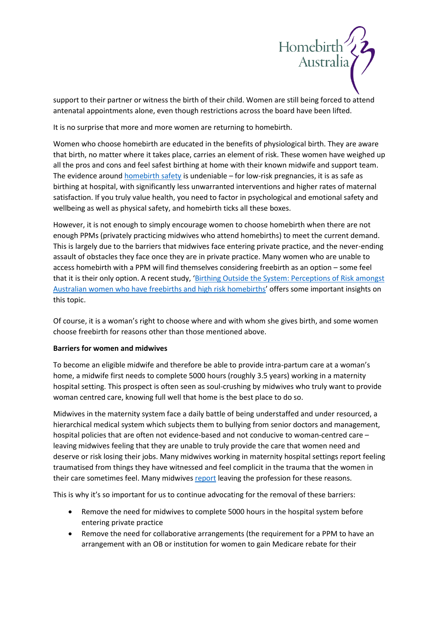

support to their partner or witness the birth of their child. Women are still being forced to attend antenatal appointments alone, even though restrictions across the board have been lifted.

It is no surprise that more and more women are returning to homebirth.

Women who choose homebirth are educated in the benefits of physiological birth. They are aware that birth, no matter where it takes place, carries an element of risk. These women have weighed up all the pros and cons and feel safest birthing at home with their known midwife and support team. The evidence around [homebirth safety](https://www.homebirthaustralia.org/is-homebirth-research.html) is undeniable – for low-risk pregnancies, it is as safe as birthing at hospital, with significantly less unwarranted interventions and higher rates of maternal satisfaction. If you truly value health, you need to factor in psychological and emotional safety and wellbeing as well as physical safety, and homebirth ticks all these boxes.

However, it is not enough to simply encourage women to choose homebirth when there are not enough PPMs (privately practicing midwives who attend homebirths) to meet the current demand. This is largely due to the barriers that midwives face entering private practice, and the never-ending assault of obstacles they face once they are in private practice. Many women who are unable to access homebirth with a PPM will find themselves considering freebirth as an option – some feel that it is their only option. A recent study, 'Birthing Outside the System: Perceptions of Risk amongst [Australian women who have freebirths and high risk homebirths](https://www.sciencedirect.com/science/article/abs/pii/S0266613811001811?via%3Dihub)' offers some important insights on this topic.

Of course, it is a woman's right to choose where and with whom she gives birth, and some women choose freebirth for reasons other than those mentioned above.

## **Barriers for women and midwives**

To become an eligible midwife and therefore be able to provide intra-partum care at a woman's home, a midwife first needs to complete 5000 hours (roughly 3.5 years) working in a maternity hospital setting. This prospect is often seen as soul-crushing by midwives who truly want to provide woman centred care, knowing full well that home is the best place to do so.

Midwives in the maternity system face a daily battle of being understaffed and under resourced, a hierarchical medical system which subjects them to bullying from senior doctors and management, hospital policies that are often not evidence-based and not conducive to woman-centred care – leaving midwives feeling that they are unable to truly provide the care that women need and deserve or risk losing their jobs. Many midwives working in maternity hospital settings report feeling traumatised from things they have witnessed and feel complicit in the trauma that the women in their care sometimes feel. Many midwives [report](https://pubmed.ncbi.nlm.nih.gov/28068942/) leaving the profession for these reasons.

This is why it's so important for us to continue advocating for the removal of these barriers:

- Remove the need for midwives to complete 5000 hours in the hospital system before entering private practice
- Remove the need for collaborative arrangements (the requirement for a PPM to have an arrangement with an OB or institution for women to gain Medicare rebate for their